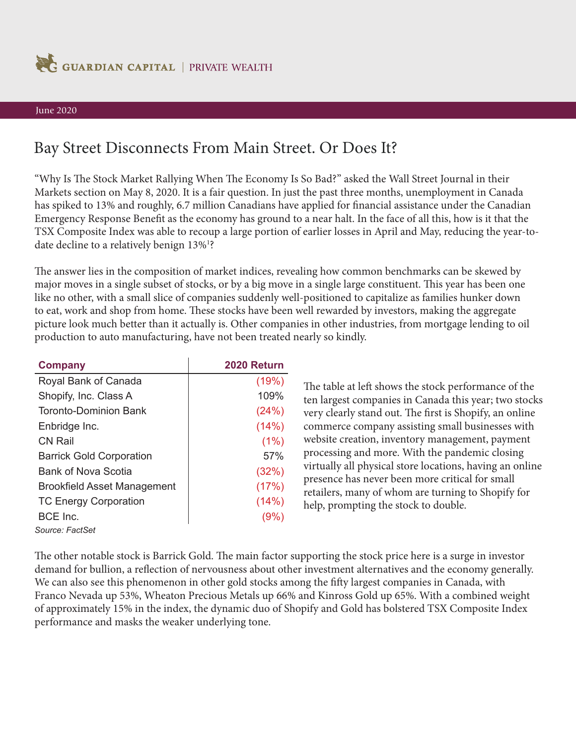

## June 2020

## Bay Street Disconnects From Main Street. Or Does It?

"Why Is The Stock Market Rallying When The Economy Is So Bad?" asked the Wall Street Journal in their Markets section on May 8, 2020. It is a fair question. In just the past three months, unemployment in Canada has spiked to 13% and roughly, 6.7 million Canadians have applied for fnancial assistance under the Canadian Emergency Response Beneft as the economy has ground to a near halt. In the face of all this, how is it that the TSX Composite Index was able to recoup a large portion of earlier losses in April and May, reducing the year-todate decline to a relatively benign 13%<sup>1</sup>?

The answer lies in the composition of market indices, revealing how common benchmarks can be skewed by major moves in a single subset of stocks, or by a big move in a single large constituent. This year has been one like no other, with a small slice of companies suddenly well-positioned to capitalize as families hunker down to eat, work and shop from home. These stocks have been well rewarded by investors, making the aggregate picture look much better than it actually is. Other companies in other industries, from mortgage lending to oil production to auto manufacturing, have not been treated nearly so kindly.

| <b>Company</b>                     | 2020 Return |
|------------------------------------|-------------|
| Royal Bank of Canada               | (19%)       |
| Shopify, Inc. Class A              | 109%        |
| Toronto-Dominion Bank              | (24%)       |
| Enbridge Inc.                      | (14%)       |
| CN Rail                            | (1%)        |
| <b>Barrick Gold Corporation</b>    | 57%         |
| Bank of Nova Scotia                | (32%)       |
| <b>Brookfield Asset Management</b> | (17%)       |
| <b>TC Energy Corporation</b>       | (14%)       |
| BCE Inc.                           | (9%)        |
| Source: FactSet                    |             |

The table at left shows the stock performance of the ten largest companies in Canada this year; two stocks very clearly stand out. The first is Shopify, an online commerce company assisting small businesses with website creation, inventory management, payment processing and more. With the pandemic closing virtually all physical store locations, having an online presence has never been more critical for small retailers, many of whom are turning to Shopify for help, prompting the stock to double.

The other notable stock is Barrick Gold. The main factor supporting the stock price here is a surge in investor demand for bullion, a refection of nervousness about other investment alternatives and the economy generally. We can also see this phenomenon in other gold stocks among the fifty largest companies in Canada, with Franco Nevada up 53%, Wheaton Precious Metals up 66% and Kinross Gold up 65%. With a combined weight of approximately 15% in the index, the dynamic duo of Shopify and Gold has bolstered TSX Composite Index performance and masks the weaker underlying tone.